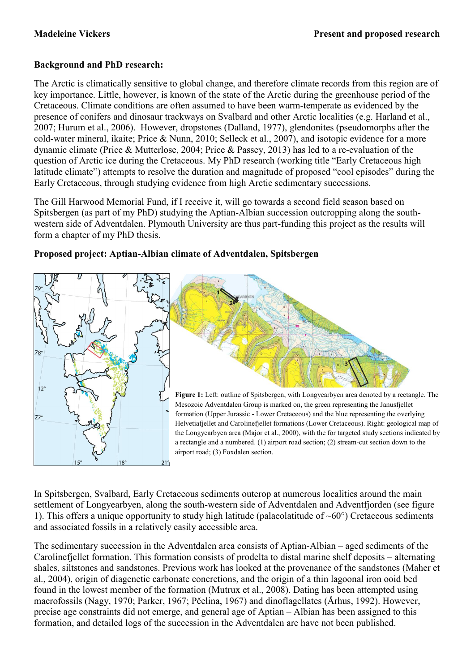## **Background and PhD research:**

The Arctic is climatically sensitive to global change, and therefore climate records from this region are of key importance. Little, however, is known of the state of the Arctic during the greenhouse period of the Cretaceous. Climate conditions are often assumed to have been warm-temperate as evidenced by the presence of conifers and dinosaur trackways on Svalbard and other Arctic localities (e.g. Harland et al., 2007; Hurum et al., 2006). However, dropstones (Dalland, 1977), glendonites (pseudomorphs after the cold-water mineral, ikaite; Price & Nunn, 2010; Selleck et al., 2007), and isotopic evidence for a more dynamic climate (Price & Mutterlose, 2004; Price & Passey, 2013) has led to a re-evaluation of the question of Arctic ice during the Cretaceous. My PhD research (working title "Early Cretaceous high latitude climate") attempts to resolve the duration and magnitude of proposed "cool episodes" during the Early Cretaceous, through studying evidence from high Arctic sedimentary successions.

The Gill Harwood Memorial Fund, if I receive it, will go towards a second field season based on Spitsbergen (as part of my PhD) studying the Aptian-Albian succession outcropping along the southwestern side of Adventdalen. Plymouth University are thus part-funding this project as the results will form a chapter of my PhD thesis.



## **Proposed project: Aptian-Albian climate of Adventdalen, Spitsbergen**



**Figure 1:** Left: outline of Spitsbergen, with Longyearbyen area denoted by a rectangle. The Mesozoic Adventdalen Group is marked on, the green representing the Janusfjellet formation (Upper Jurassic - Lower Cretaceous) and the blue representing the overlying Helvetiafjellet and Carolinefjellet formations (Lower Cretaceous). Right: geological map of the Longyearbyen area (Major et al., 2000), with the for targeted study sections indicated by a rectangle and a numbered. (1) airport road section; (2) stream-cut section down to the airport road; (3) Foxdalen section.

In Spitsbergen, Svalbard, Early Cretaceous sediments outcrop at numerous localities around the main settlement of Longyearbyen, along the south-western side of Adventdalen and Adventfjorden (see figure 1). This offers a unique opportunity to study high latitude (palaeolatitude of  $~60^{\circ}$ ) Cretaceous sediments and associated fossils in a relatively easily accessible area.

The sedimentary succession in the Adventdalen area consists of Aptian-Albian – aged sediments of the Carolinefjellet formation. This formation consists of prodelta to distal marine shelf deposits – alternating shales, siltstones and sandstones. Previous work has looked at the provenance of the sandstones (Maher et al., 2004), origin of diagenetic carbonate concretions, and the origin of a thin lagoonal iron ooid bed found in the lowest member of the formation (Mutrux et al., 2008). Dating has been attempted using macrofossils (Nagy, 1970; Parker, 1967; Pčelina, 1967) and dinoflagellates (Århus, 1992). However, precise age constraints did not emerge, and general age of Aptian – Albian has been assigned to this formation, and detailed logs of the succession in the Adventdalen are have not been published.